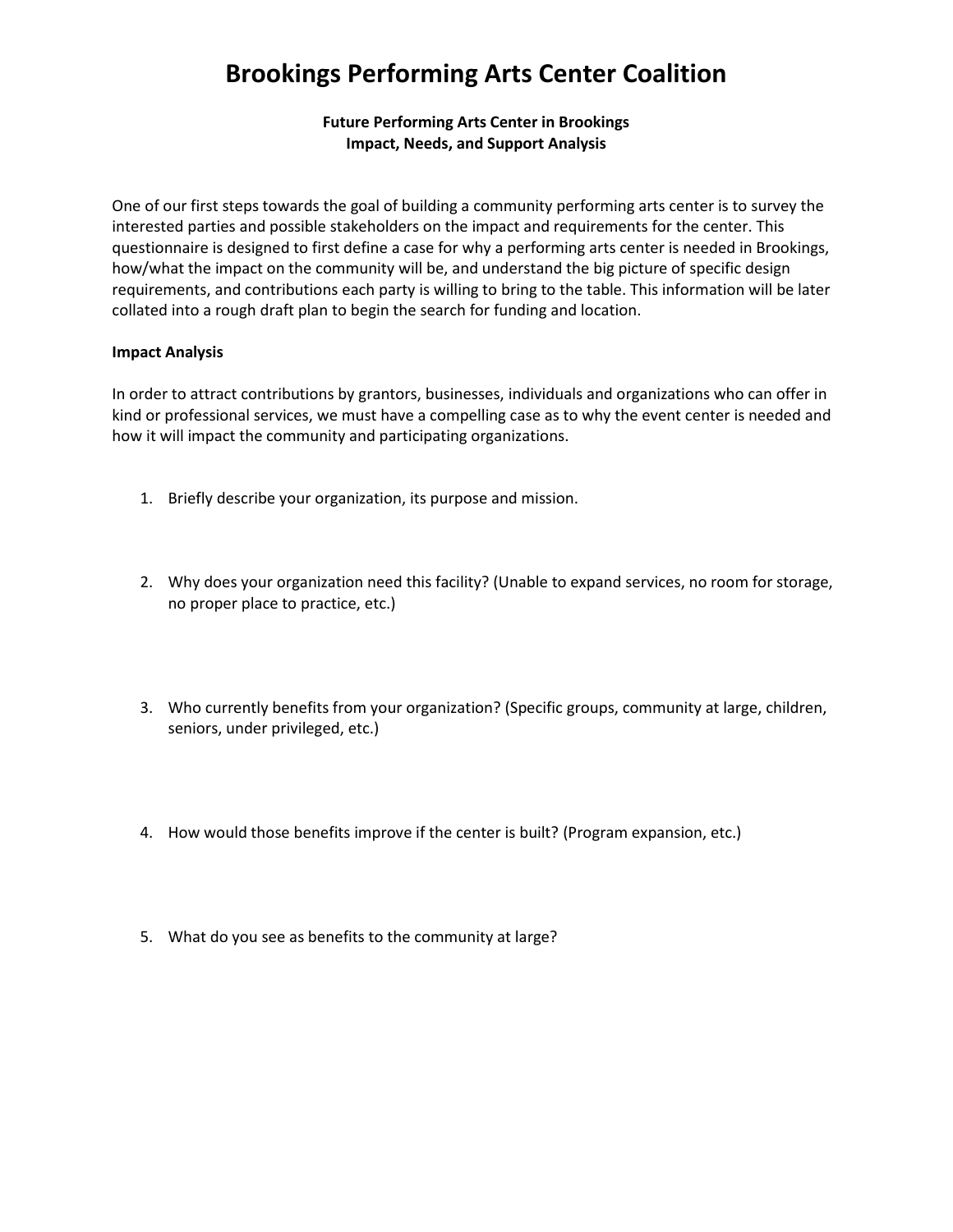# **Brookings Performing Arts Center Coalition**

### **Future Performing Arts Center in Brookings Impact, Needs, and Support Analysis**

One of our first steps towards the goal of building a community performing arts center is to survey the interested parties and possible stakeholders on the impact and requirements for the center. This questionnaire is designed to first define a case for why a performing arts center is needed in Brookings, how/what the impact on the community will be, and understand the big picture of specific design requirements, and contributions each party is willing to bring to the table. This information will be later collated into a rough draft plan to begin the search for funding and location.

#### **Impact Analysis**

In order to attract contributions by grantors, businesses, individuals and organizations who can offer in kind or professional services, we must have a compelling case as to why the event center is needed and how it will impact the community and participating organizations.

- 1. Briefly describe your organization, its purpose and mission.
- 2. Why does your organization need this facility? (Unable to expand services, no room for storage, no proper place to practice, etc.)
- 3. Who currently benefits from your organization? (Specific groups, community at large, children, seniors, under privileged, etc.)
- 4. How would those benefits improve if the center is built? (Program expansion, etc.)
- 5. What do you see as benefits to the community at large?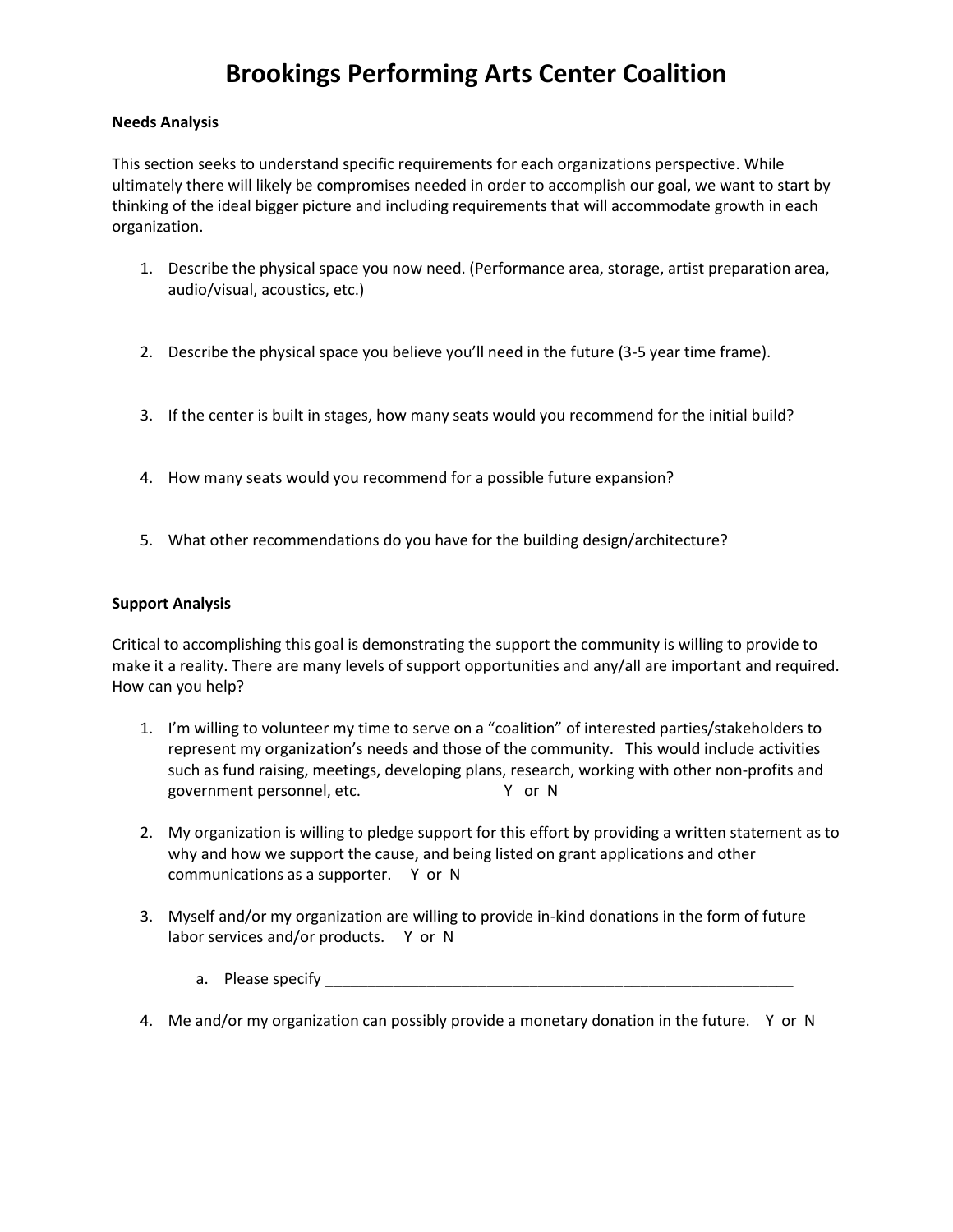# **Brookings Performing Arts Center Coalition**

#### **Needs Analysis**

This section seeks to understand specific requirements for each organizations perspective. While ultimately there will likely be compromises needed in order to accomplish our goal, we want to start by thinking of the ideal bigger picture and including requirements that will accommodate growth in each organization.

- 1. Describe the physical space you now need. (Performance area, storage, artist preparation area, audio/visual, acoustics, etc.)
- 2. Describe the physical space you believe you'll need in the future (3-5 year time frame).
- 3. If the center is built in stages, how many seats would you recommend for the initial build?
- 4. How many seats would you recommend for a possible future expansion?
- 5. What other recommendations do you have for the building design/architecture?

#### **Support Analysis**

Critical to accomplishing this goal is demonstrating the support the community is willing to provide to make it a reality. There are many levels of support opportunities and any/all are important and required. How can you help?

- 1. I'm willing to volunteer my time to serve on a "coalition" of interested parties/stakeholders to represent my organization's needs and those of the community. This would include activities such as fund raising, meetings, developing plans, research, working with other non-profits and government personnel, etc. The Management of N
- 2. My organization is willing to pledge support for this effort by providing a written statement as to why and how we support the cause, and being listed on grant applications and other communications as a supporter. Y or N
- 3. Myself and/or my organization are willing to provide in-kind donations in the form of future labor services and/or products. Y or N
	- a. Please specify \_\_\_\_\_\_\_\_\_\_\_\_\_\_\_\_\_\_\_\_\_\_\_\_\_\_\_\_\_\_\_\_\_\_\_\_\_\_\_\_\_\_\_\_\_\_\_\_\_\_\_\_\_\_\_
- 4. Me and/or my organization can possibly provide a monetary donation in the future. Y or N